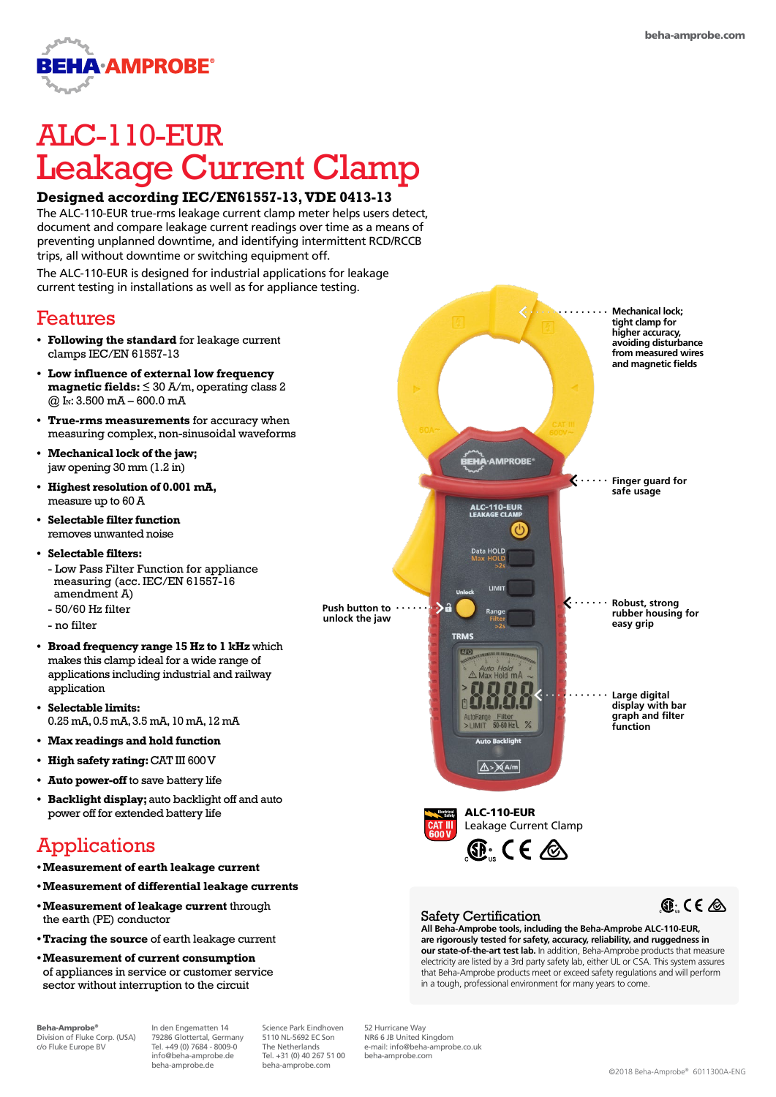

# ALC-110-EUR Leakage Current Clamp

### **Designed according IEC/EN61557-13, VDE 0413-13**

The ALC-110-EUR true-rms leakage current clamp meter helps users detect, document and compare leakage current readings over time as a means of preventing unplanned downtime, and identifying intermittent RCD/RCCB trips, all without downtime or switching equipment off.

The ALC-110-EUR is designed for industrial applications for leakage current testing in installations as well as for appliance testing.

## Features

- **• Following the standard** for leakage current clamps IEC/EN 61557-13
- **• Low influence of external low frequency magnetic fields:** ≤ 30 A/m, operating class 2  $@$  I<sub>N</sub>: 3.500 mA – 600.0 mA
- **• True-rms measurements** for accuracy when measuring complex, non-sinusoidal waveforms
- **• Mechanical lock of the jaw;**  jaw opening 30 mm (1.2 in)
- **• Highest resolution of 0.001 mA,**  measure up to 60 A
- **• Selectable filter function**  removes unwanted noise
- **• Selectable filters:**  - Low Pass Filter Function for appliance measuring (acc. IEC/EN 61557-16 amendment A) - 50/60 Hz filter
- no filter
- **• Broad frequency range 15 Hz to 1 kHz** which makes this clamp ideal for a wide range of applications including industrial and railway application
- **• Selectable limits:** 0.25 mA, 0.5 mA, 3.5 mA, 10 mA, 12 mA
- **• Max readings and hold function**
- **• High safety rating:** CAT III 600 V
- **• Auto power-off** to save battery life
- **• Backlight display;** auto backlight off and auto power off for extended battery life ALC-110-EUR

# Applications

- **•Measurement of earth leakage current**
- **•Measurement of differential leakage currents**
- **•Measurement of leakage current** through the earth (PE) conductor
- **•Tracing the source** of earth leakage current
- **•Measurement of current consumption** of appliances in service or customer service sector without interruption to the circuit

Beha-Amprobe® Division of Fluke Corp. (USA) c/o Fluke Europe BV

In den Engematten 14 79286 Glottertal, Germany Tel. +49 (0) 7684 - 8009-0 info@beha-amprobe.de beha-amprobe.de

Science Park Eindhoven 5110 NL-5692 EC Son The Netherlands Tel. +31 (0) 40 267 51 00 beha-amprobe.com

52 Hurricane Way NR6 6 JB United Kingdom e-mail: info@beha-amprobe.co.uk beha-amprobe.com



#### Safety Certification

**All Beha-Amprobe tools, including the Beha-Amprobe ALC-110-EUR, are rigorously tested for safety, accuracy, reliability, and ruggedness in our state-of-the-art test lab.** In addition, Beha-Amprobe products that measure electricity are listed by a 3rd party safety lab, either UL or CSA. This system assures that Beha-Amprobe products meet or exceed safety regulations and will perform in a tough, professional environment for many years to come.



©2018 Beha-Amprobe® 6011300A-ENG